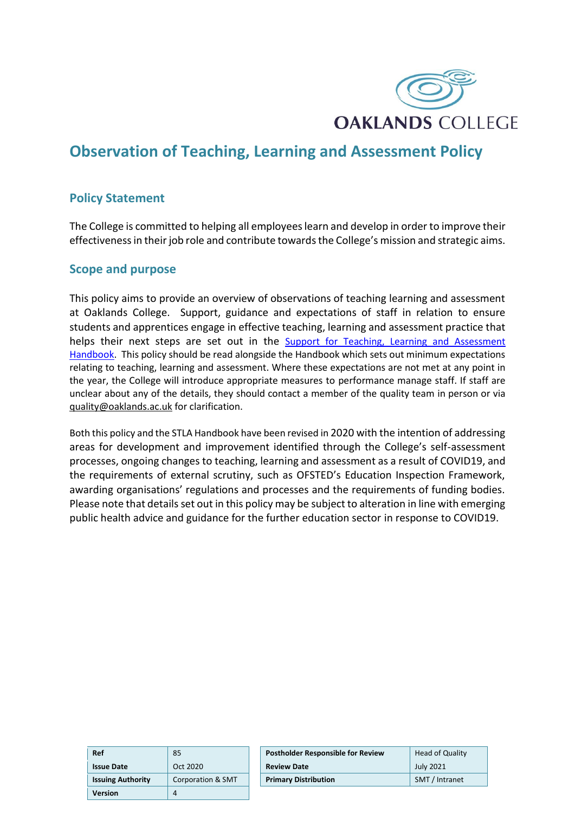

# **Observation of Teaching, Learning and Assessment Policy**

### **Policy Statement**

The College is committed to helping all employees learn and develop in order to improve their effectiveness in their job role and contribute towards the College's mission and strategic aims.

#### **Scope and purpose**

This policy aims to provide an overview of observations of teaching learning and assessment at Oaklands College. Support, guidance and expectations of staff in relation to ensure students and apprentices engage in effective teaching, learning and assessment practice that helps their next steps are set out in the Support for Teaching, Learning and Assessment [Handbook.](https://oaklandsacuk0.sharepoint.com/:b:/s/Quality/EaspuNetvoNHn4Bwz9kKzGABHcoFOrvNGXxs29R8Yx8LXw?e=WF7wzJ) This policy should be read alongside the Handbook which sets out minimum expectations relating to teaching, learning and assessment. Where these expectations are not met at any point in the year, the College will introduce appropriate measures to performance manage staff. If staff are unclear about any of the details, they should contact a member of the quality team in person or via [quality@oaklands.ac.uk f](mailto:quality@oaklands.ac.uk)or clarification.

Both this policy and the STLA Handbook have been revised in 2020 with the intention of addressing areas for development and improvement identified through the College's self-assessment processes, ongoing changes to teaching, learning and assessment as a result of COVID19, and the requirements of external scrutiny, such as OFSTED's Education Inspection Framework, awarding organisations' regulations and processes and the requirements of funding bodies. Please note that details set out in this policy may be subject to alteration in line with emerging public health advice and guidance for the further education sector in response to COVID19.

| Ref                      | 85                           | Po:        |
|--------------------------|------------------------------|------------|
| <b>Issue Date</b>        | Oct 2020                     | <b>Rev</b> |
| <b>Issuing Authority</b> | <b>Corporation &amp; SMT</b> | Pri        |
| <b>Version</b>           |                              |            |

| Ref                      | 85                | <b>Postholder Responsible for Review</b> | Head of Quality          |
|--------------------------|-------------------|------------------------------------------|--------------------------|
| <b>Issue Date</b>        | Oct 2020          | <b>Review Date</b>                       | <b>July 2021</b>         |
| <b>Issuing Authority</b> | Corporation & SMT | <b>Primary Distribution</b>              | <b>SMT</b><br>7 Intranet |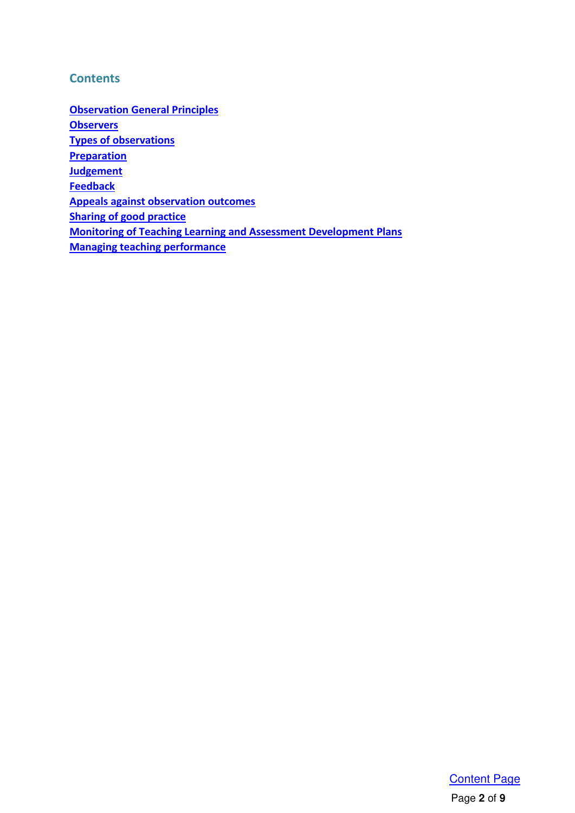### <span id="page-1-0"></span>**Contents**

**[Observation General Principles](#page-2-0) [Observers](#page-2-1) [Types of observations](#page-3-0)  [Preparation](#page-4-0)  Judgement [Feedback](#page-5-1) [Appeals against observation outcomes](#page-5-2) [Sharing of good practice](#page-6-0) [Monitoring of Teaching Learning and Assessment Development Plans](#page-6-1)  [Managing teaching performance](#page-7-0)**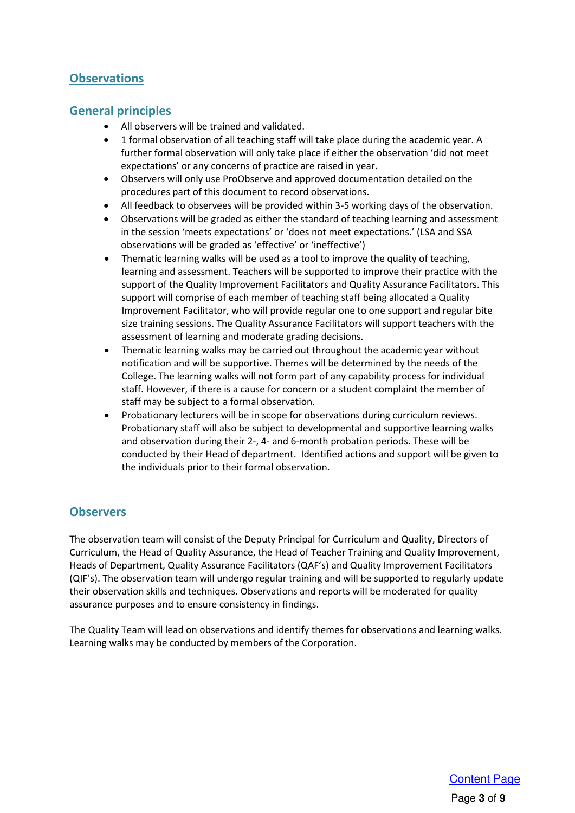## **Observations**

#### <span id="page-2-0"></span>**General principles**

- All observers will be trained and validated.
- 1 formal observation of all teaching staff will take place during the academic year. A further formal observation will only take place if either the observation 'did not meet expectations' or any concerns of practice are raised in year.
- Observers will only use ProObserve and approved documentation detailed on the procedures part of this document to record observations.
- All feedback to observees will be provided within 3-5 working days of the observation.
- Observations will be graded as either the standard of teaching learning and assessment in the session 'meets expectations' or 'does not meet expectations.' (LSA and SSA observations will be graded as 'effective' or 'ineffective')
- Thematic learning walks will be used as a tool to improve the quality of teaching, learning and assessment. Teachers will be supported to improve their practice with the support of the Quality Improvement Facilitators and Quality Assurance Facilitators. This support will comprise of each member of teaching staff being allocated a Quality Improvement Facilitator, who will provide regular one to one support and regular bite size training sessions. The Quality Assurance Facilitators will support teachers with the assessment of learning and moderate grading decisions.
- Thematic learning walks may be carried out throughout the academic year without notification and will be supportive. Themes will be determined by the needs of the College. The learning walks will not form part of any capability process for individual staff. However, if there is a cause for concern or a student complaint the member of staff may be subject to a formal observation.
- Probationary lecturers will be in scope for observations during curriculum reviews. Probationary staff will also be subject to developmental and supportive learning walks and observation during their 2-, 4- and 6-month probation periods. These will be conducted by their Head of department. Identified actions and support will be given to the individuals prior to their formal observation.

#### <span id="page-2-1"></span>**Observers**

The observation team will consist of the Deputy Principal for Curriculum and Quality, Directors of Curriculum, the Head of Quality Assurance, the Head of Teacher Training and Quality Improvement, Heads of Department, Quality Assurance Facilitators (QAF's) and Quality Improvement Facilitators (QIF's). The observation team will undergo regular training and will be supported to regularly update their observation skills and techniques. Observations and reports will be moderated for quality assurance purposes and to ensure consistency in findings.

The Quality Team will lead on observations and identify themes for observations and learning walks. Learning walks may be conducted by members of the Corporation.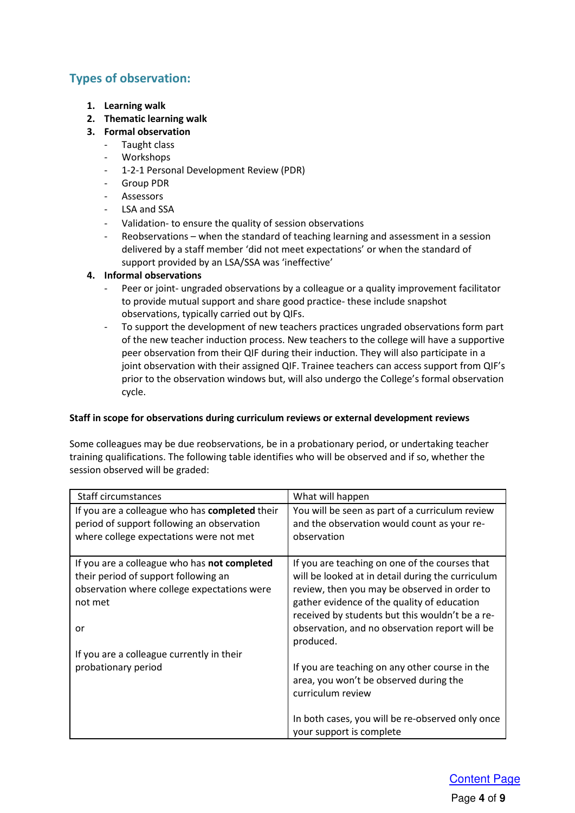## <span id="page-3-0"></span>**Types of observation:**

- **1. Learning walk**
- **2. Thematic learning walk**
- **3. Formal observation** 
	- Taught class
	- **Workshops**
	- 1-2-1 Personal Development Review (PDR)
	- Group PDR
	- **Assessors**
	- LSA and SSA
	- Validation- to ensure the quality of session observations
	- Reobservations when the standard of teaching learning and assessment in a session delivered by a staff member 'did not meet expectations' or when the standard of support provided by an LSA/SSA was 'ineffective'

#### **4. Informal observations**

- Peer or joint- ungraded observations by a colleague or a quality improvement facilitator to provide mutual support and share good practice- these include snapshot observations, typically carried out by QIFs.
- To support the development of new teachers practices ungraded observations form part of the new teacher induction process. New teachers to the college will have a supportive peer observation from their QIF during their induction. They will also participate in a joint observation with their assigned QIF. Trainee teachers can access support from QIF's prior to the observation windows but, will also undergo the College's formal observation cycle.

#### **Staff in scope for observations during curriculum reviews or external development reviews**

Some colleagues may be due reobservations, be in a probationary period, or undertaking teacher training qualifications. The following table identifies who will be observed and if so, whether the session observed will be graded:

| Staff circumstances                                                                                                                                  | What will happen                                                                                                                                                                                                                                                                                                     |
|------------------------------------------------------------------------------------------------------------------------------------------------------|----------------------------------------------------------------------------------------------------------------------------------------------------------------------------------------------------------------------------------------------------------------------------------------------------------------------|
| If you are a colleague who has completed their<br>period of support following an observation<br>where college expectations were not met              | You will be seen as part of a curriculum review<br>and the observation would count as your re-<br>observation                                                                                                                                                                                                        |
| If you are a colleague who has not completed<br>their period of support following an<br>observation where college expectations were<br>not met<br>or | If you are teaching on one of the courses that<br>will be looked at in detail during the curriculum<br>review, then you may be observed in order to<br>gather evidence of the quality of education<br>received by students but this wouldn't be a re-<br>observation, and no observation report will be<br>produced. |
| If you are a colleague currently in their<br>probationary period                                                                                     | If you are teaching on any other course in the<br>area, you won't be observed during the<br>curriculum review<br>In both cases, you will be re-observed only once<br>your support is complete                                                                                                                        |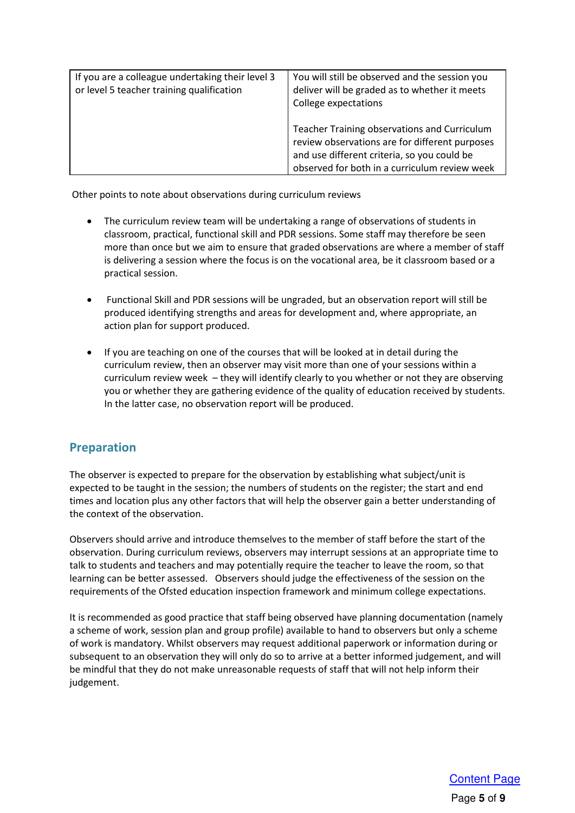| If you are a colleague undertaking their level 3<br>or level 5 teacher training qualification | You will still be observed and the session you<br>deliver will be graded as to whether it meets<br>College expectations                                                                        |
|-----------------------------------------------------------------------------------------------|------------------------------------------------------------------------------------------------------------------------------------------------------------------------------------------------|
|                                                                                               | Teacher Training observations and Curriculum<br>review observations are for different purposes<br>and use different criteria, so you could be<br>observed for both in a curriculum review week |

Other points to note about observations during curriculum reviews

- The curriculum review team will be undertaking a range of observations of students in classroom, practical, functional skill and PDR sessions. Some staff may therefore be seen more than once but we aim to ensure that graded observations are where a member of staff is delivering a session where the focus is on the vocational area, be it classroom based or a practical session.
- Functional Skill and PDR sessions will be ungraded, but an observation report will still be produced identifying strengths and areas for development and, where appropriate, an action plan for support produced.
- If you are teaching on one of the courses that will be looked at in detail during the curriculum review, then an observer may visit more than one of your sessions within a curriculum review week – they will identify clearly to you whether or not they are observing you or whether they are gathering evidence of the quality of education received by students. In the latter case, no observation report will be produced.

#### <span id="page-4-0"></span>**Preparation**

The observer is expected to prepare for the observation by establishing what subject/unit is expected to be taught in the session; the numbers of students on the register; the start and end times and location plus any other factors that will help the observer gain a better understanding of the context of the observation.

Observers should arrive and introduce themselves to the member of staff before the start of the observation. During curriculum reviews, observers may interrupt sessions at an appropriate time to talk to students and teachers and may potentially require the teacher to leave the room, so that learning can be better assessed. Observers should judge the effectiveness of the session on the requirements of the Ofsted education inspection framework and minimum college expectations.

It is recommended as good practice that staff being observed have planning documentation (namely a scheme of work, session plan and group profile) available to hand to observers but only a scheme of work is mandatory. Whilst observers may request additional paperwork or information during or subsequent to an observation they will only do so to arrive at a better informed judgement, and will be mindful that they do not make unreasonable requests of staff that will not help inform their judgement.

> Page **5** of **9** [Content Page](#page-1-0)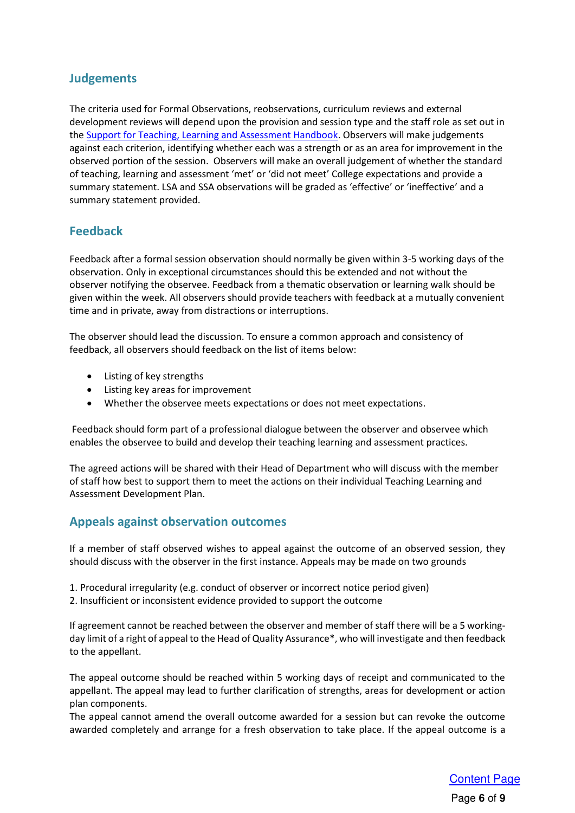### <span id="page-5-0"></span>**Judgements**

The criteria used for Formal Observations, reobservations, curriculum reviews and external development reviews will depend upon the provision and session type and the staff role as set out in th[e Support for Teaching, Learning and Assessment Handbook.](https://oaklandsacuk0.sharepoint.com/:b:/s/Quality/EaspuNetvoNHn4Bwz9kKzGABHcoFOrvNGXxs29R8Yx8LXw?e=WF7wzJ) Observers will make judgements against each criterion, identifying whether each was a strength or as an area for improvement in the observed portion of the session. Observers will make an overall judgement of whether the standard of teaching, learning and assessment 'met' or 'did not meet' College expectations and provide a summary statement. LSA and SSA observations will be graded as 'effective' or 'ineffective' and a summary statement provided.

#### <span id="page-5-1"></span>**Feedback**

Feedback after a formal session observation should normally be given within 3-5 working days of the observation. Only in exceptional circumstances should this be extended and not without the observer notifying the observee. Feedback from a thematic observation or learning walk should be given within the week. All observers should provide teachers with feedback at a mutually convenient time and in private, away from distractions or interruptions.

The observer should lead the discussion. To ensure a common approach and consistency of feedback, all observers should feedback on the list of items below:

- Listing of key strengths
- Listing key areas for improvement
- Whether the observee meets expectations or does not meet expectations.

 Feedback should form part of a professional dialogue between the observer and observee which enables the observee to build and develop their teaching learning and assessment practices.

The agreed actions will be shared with their Head of Department who will discuss with the member of staff how best to support them to meet the actions on their individual Teaching Learning and Assessment Development Plan.

#### <span id="page-5-2"></span>**Appeals against observation outcomes**

If a member of staff observed wishes to appeal against the outcome of an observed session, they should discuss with the observer in the first instance. Appeals may be made on two grounds

- 1. Procedural irregularity (e.g. conduct of observer or incorrect notice period given)
- 2. Insufficient or inconsistent evidence provided to support the outcome

If agreement cannot be reached between the observer and member of staff there will be a 5 workingday limit of a right of appeal to the Head of Quality Assurance\*, who will investigate and then feedback to the appellant.

The appeal outcome should be reached within 5 working days of receipt and communicated to the appellant. The appeal may lead to further clarification of strengths, areas for development or action plan components.

The appeal cannot amend the overall outcome awarded for a session but can revoke the outcome awarded completely and arrange for a fresh observation to take place. If the appeal outcome is a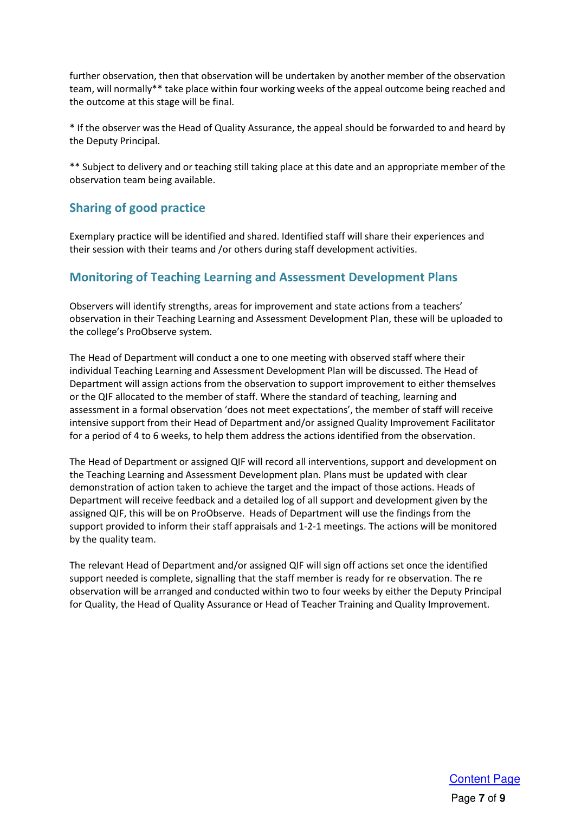further observation, then that observation will be undertaken by another member of the observation team, will normally\*\* take place within four working weeks of the appeal outcome being reached and the outcome at this stage will be final.

\* If the observer was the Head of Quality Assurance, the appeal should be forwarded to and heard by the Deputy Principal.

\*\* Subject to delivery and or teaching still taking place at this date and an appropriate member of the observation team being available.

### <span id="page-6-0"></span>**Sharing of good practice**

Exemplary practice will be identified and shared. Identified staff will share their experiences and their session with their teams and /or others during staff development activities.

#### <span id="page-6-1"></span>**Monitoring of Teaching Learning and Assessment Development Plans**

Observers will identify strengths, areas for improvement and state actions from a teachers' observation in their Teaching Learning and Assessment Development Plan, these will be uploaded to the college's ProObserve system.

The Head of Department will conduct a one to one meeting with observed staff where their individual Teaching Learning and Assessment Development Plan will be discussed. The Head of Department will assign actions from the observation to support improvement to either themselves or the QIF allocated to the member of staff. Where the standard of teaching, learning and assessment in a formal observation 'does not meet expectations', the member of staff will receive intensive support from their Head of Department and/or assigned Quality Improvement Facilitator for a period of 4 to 6 weeks, to help them address the actions identified from the observation.

The Head of Department or assigned QIF will record all interventions, support and development on the Teaching Learning and Assessment Development plan. Plans must be updated with clear demonstration of action taken to achieve the target and the impact of those actions. Heads of Department will receive feedback and a detailed log of all support and development given by the assigned QIF, this will be on ProObserve. Heads of Department will use the findings from the support provided to inform their staff appraisals and 1-2-1 meetings. The actions will be monitored by the quality team.

The relevant Head of Department and/or assigned QIF will sign off actions set once the identified support needed is complete, signalling that the staff member is ready for re observation. The re observation will be arranged and conducted within two to four weeks by either the Deputy Principal for Quality, the Head of Quality Assurance or Head of Teacher Training and Quality Improvement.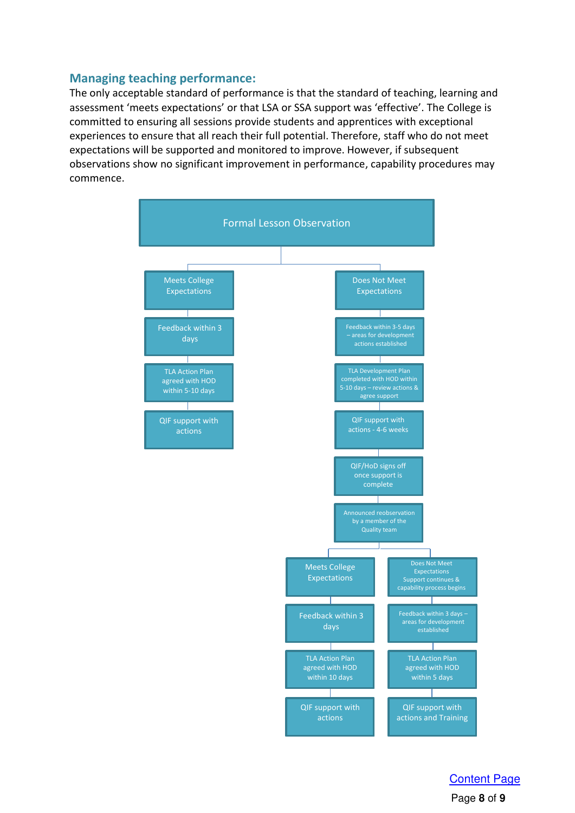## <span id="page-7-0"></span>**Managing teaching performance:**

The only acceptable standard of performance is that the standard of teaching, learning and assessment 'meets expectations' or that LSA or SSA support was 'effective'. The College is committed to ensuring all sessions provide students and apprentices with exceptional experiences to ensure that all reach their full potential. Therefore, staff who do not meet expectations will be supported and monitored to improve. However, if subsequent observations show no significant improvement in performance, capability procedures may commence.



Page **8** of **9** [Content Page](#page-1-0)